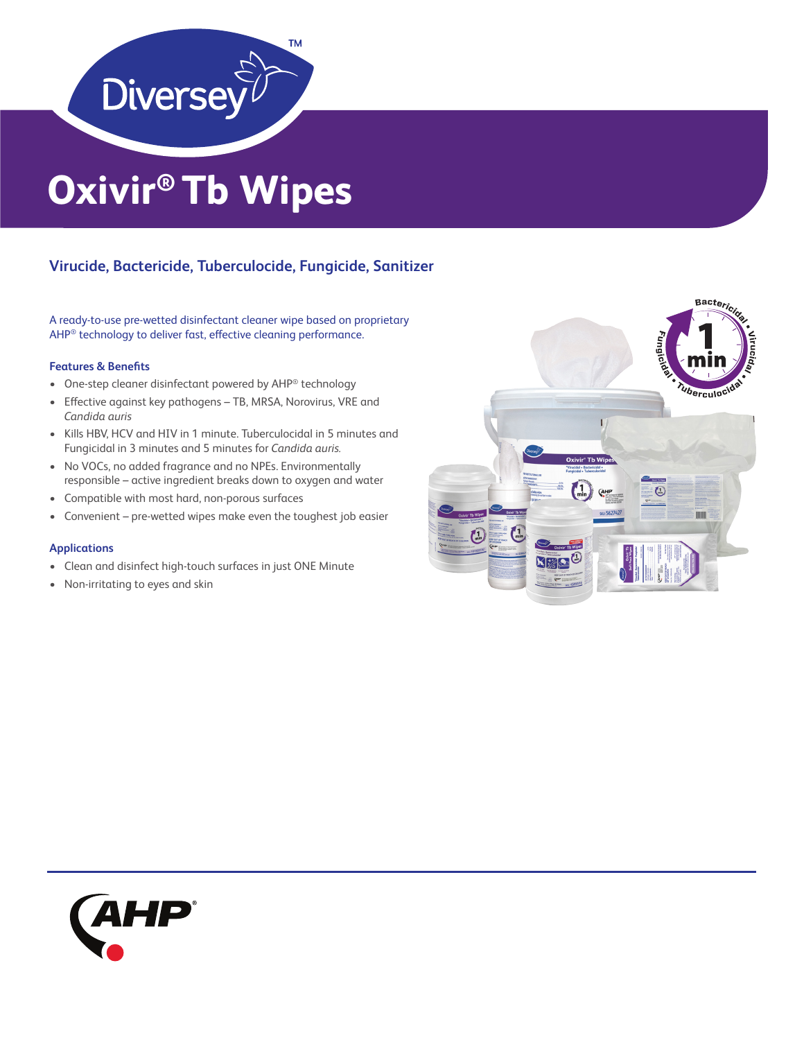

# **Oxivir® Tb Wipes**

## **Virucide, Bactericide, Tuberculocide, Fungicide, Sanitizer**

A ready-to-use pre-wetted disinfectant cleaner wipe based on proprietary AHP® technology to deliver fast, effective cleaning performance.

## **Features & Benefits**

- One-step cleaner disinfectant powered by AHP® technology
- Effective against key pathogens TB, MRSA, Norovirus, VRE and *Candida auris*
- Kills HBV, HCV and HIV in 1 minute. Tuberculocidal in 5 minutes and Fungicidal in 3 minutes and 5 minutes for *Candida auris.*
- No VOCs, no added fragrance and no NPEs. Environmentally responsible – active ingredient breaks down to oxygen and water
- Compatible with most hard, non-porous surfaces
- Convenient pre-wetted wipes make even the toughest job easier

### **Applications**

- Clean and disinfect high-touch surfaces in just ONE Minute
- Non-irritating to eyes and skin